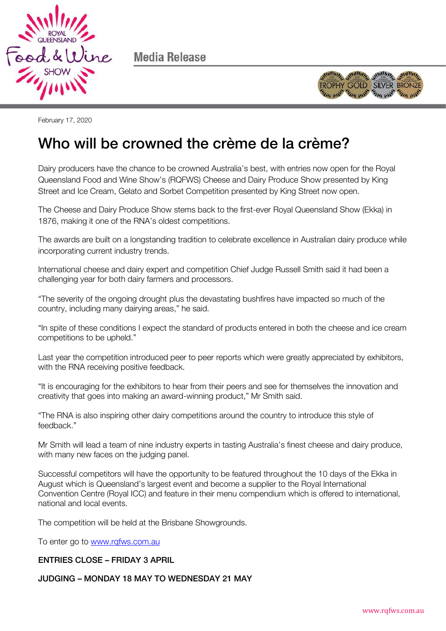

Media Release



February 17, 2020

## Who will be crowned the crème de la crème? When we can consider the crème de la crème de la crème de la crème de la crème de la crème de la crème de la c

Dairy producers have the chance to be crowned Australia's best, with entries now open for the Royal Queensland Food and Wine Show's (RQFWS) Cheese and Dairy Produce Show presented by King Street and Ice Cream, Gelato and Sorbet Competition presented by King Street now open.

The Cheese and Dairy Produce Show stems back to the first-ever Royal Queensland Show (Ekka) in 1876, making it one of the RNA's oldest competitions.

The awards are built on a longstanding tradition to celebrate excellence in Australian dairy produce while incorporating current industry trends.

International cheese and dairy expert and competition Chief Judge Russell Smith said it had been a challenging year for both dairy farmers and processors.

"The severity of the ongoing drought plus the devastating bushfires have impacted so much of the country, including many dairying areas," he said.

"In spite of these conditions I expect the standard of products entered in both the cheese and ice cream competitions to be upheld."

Last year the competition introduced peer to peer reports which were greatly appreciated by exhibitors, with the RNA receiving positive feedback.

"It is encouraging for the exhibitors to hear from their peers and see for themselves the innovation and creativity that goes into making an award-winning product," Mr Smith said.

"The RNA is also inspiring other dairy competitions around the country to introduce this style of feedback."

Mr Smith will lead a team of nine industry experts in tasting Australia's finest cheese and dairy produce, with many new faces on the judging panel.

Successful competitors will have the opportunity to be featured throughout the 10 days of the Ekka in August which is Queensland's largest event and become a supplier to the Royal International Convention Centre (Royal ICC) and feature in their menu compendium which is offered to international, national and local events.

The competition will be held at the Brisbane Showgrounds.

To enter go to www.rgfws.com.au

## **ENTRIES CLOSE - FRIDAY 3 APRIL** ENTRIES CLOSE – FRIDAY 3 APRIL

## **JUDGING - MONDAY 18 MAY TO WEDNESDAY 21 MAY** JUDGING – MONDAY 18 MAY TO WEDNESDAY 21 MAY